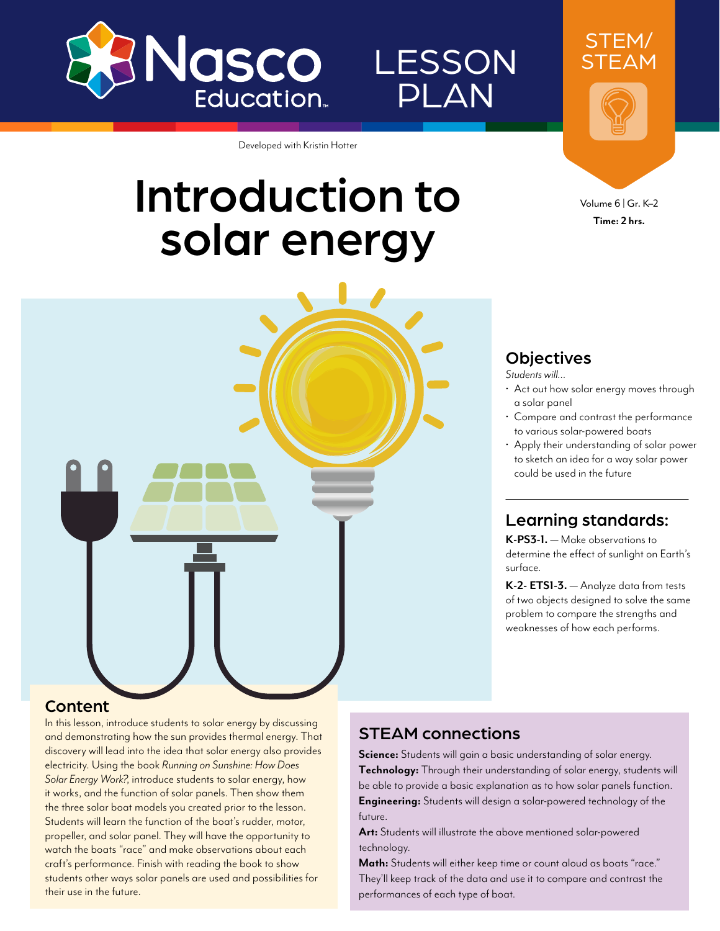

# **LESSON** PLAN

Developed with Kristin Hotter

# Introduction to solar energy



Volume 6 | Gr. K–2 **Time: 2 hrs.**

STEM/ STEAM

#### **Objectives**

*Students will…*

- Act out how solar energy moves through a solar panel
- Compare and contrast the performance to various solar-powered boats
- Apply their understanding of solar power to sketch an idea for a way solar power could be used in the future

#### Learning standards:

**K-PS3-1.** — Make observations to determine the effect of sunlight on Earth's surface.

**K-2- ETS1-3.** — Analyze data from tests of two objects designed to solve the same problem to compare the strengths and weaknesses of how each performs.

#### Content

In this lesson, introduce students to solar energy by discussing and demonstrating how the sun provides thermal energy. That discovery will lead into the idea that solar energy also provides electricity. Using the book *Running on Sunshine: How Does Solar Energy Work?*, introduce students to solar energy, how it works, and the function of solar panels. Then show them the three solar boat models you created prior to the lesson. Students will learn the function of the boat's rudder, motor, propeller, and solar panel. They will have the opportunity to watch the boats "race" and make observations about each craft's performance. Finish with reading the book to show students other ways solar panels are used and possibilities for their use in the future.

#### STEAM connections

**Science:** Students will gain a basic understanding of solar energy. **Technology:** Through their understanding of solar energy, students will be able to provide a basic explanation as to how solar panels function. **Engineering:** Students will design a solar-powered technology of the future.

**Art:** Students will illustrate the above mentioned solar-powered technology.

**Math:** Students will either keep time or count aloud as boats "race." They'll keep track of the data and use it to compare and contrast the performances of each type of boat.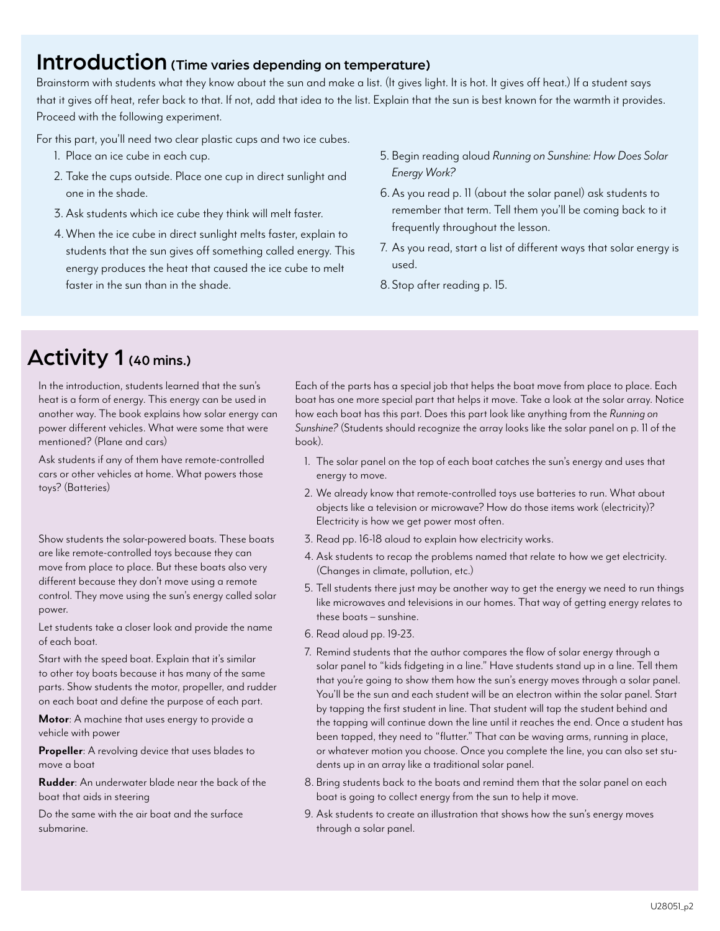#### Introduction (Time varies depending on temperature)

Brainstorm with students what they know about the sun and make a list. (It gives light. It is hot. It gives off heat.) If a student says that it gives off heat, refer back to that. If not, add that idea to the list. Explain that the sun is best known for the warmth it provides. Proceed with the following experiment.

For this part, you'll need two clear plastic cups and two ice cubes.

- 1. Place an ice cube in each cup.
- 2. Take the cups outside. Place one cup in direct sunlight and one in the shade.
- 3. Ask students which ice cube they think will melt faster.
- 4.When the ice cube in direct sunlight melts faster, explain to students that the sun gives off something called energy. This energy produces the heat that caused the ice cube to melt faster in the sun than in the shade.
- 5. Begin reading aloud *Running on Sunshine: How Does Solar Energy Work?*
- 6.As you read p. 11 (about the solar panel) ask students to remember that term. Tell them you'll be coming back to it frequently throughout the lesson.
- 7. As you read, start a list of different ways that solar energy is used.
- 8.Stop after reading p. 15.

## Activity 1 (40 mins.)

In the introduction, students learned that the sun's heat is a form of energy. This energy can be used in another way. The book explains how solar energy can power different vehicles. What were some that were mentioned? (Plane and cars)

Ask students if any of them have remote-controlled cars or other vehicles at home. What powers those toys? (Batteries)

Show students the solar-powered boats. These boats are like remote-controlled toys because they can move from place to place. But these boats also very different because they don't move using a remote control. They move using the sun's energy called solar power.

Let students take a closer look and provide the name of each boat.

Start with the speed boat. Explain that it's similar to other toy boats because it has many of the same parts. Show students the motor, propeller, and rudder on each boat and define the purpose of each part.

**Motor**: A machine that uses energy to provide a vehicle with power

**Propeller**: A revolving device that uses blades to move a boat

**Rudder**: An underwater blade near the back of the boat that aids in steering

Do the same with the air boat and the surface submarine.

Each of the parts has a special job that helps the boat move from place to place. Each boat has one more special part that helps it move. Take a look at the solar array. Notice how each boat has this part. Does this part look like anything from the *Running on Sunshine?* (Students should recognize the array looks like the solar panel on p. 11 of the book).

- 1. The solar panel on the top of each boat catches the sun's energy and uses that energy to move.
- 2. We already know that remote-controlled toys use batteries to run. What about objects like a television or microwave? How do those items work (electricity)? Electricity is how we get power most often.
- 3. Read pp. 16-18 aloud to explain how electricity works.
- 4. Ask students to recap the problems named that relate to how we get electricity. (Changes in climate, pollution, etc.)
- 5. Tell students there just may be another way to get the energy we need to run things like microwaves and televisions in our homes. That way of getting energy relates to these boats – sunshine.
- 6. Read aloud pp. 19-23.
- 7. Remind students that the author compares the flow of solar energy through a solar panel to "kids fidgeting in a line." Have students stand up in a line. Tell them that you're going to show them how the sun's energy moves through a solar panel. You'll be the sun and each student will be an electron within the solar panel. Start by tapping the first student in line. That student will tap the student behind and the tapping will continue down the line until it reaches the end. Once a student has been tapped, they need to "flutter." That can be waving arms, running in place, or whatever motion you choose. Once you complete the line, you can also set students up in an array like a traditional solar panel.
- 8. Bring students back to the boats and remind them that the solar panel on each boat is going to collect energy from the sun to help it move.
- 9. Ask students to create an illustration that shows how the sun's energy moves through a solar panel.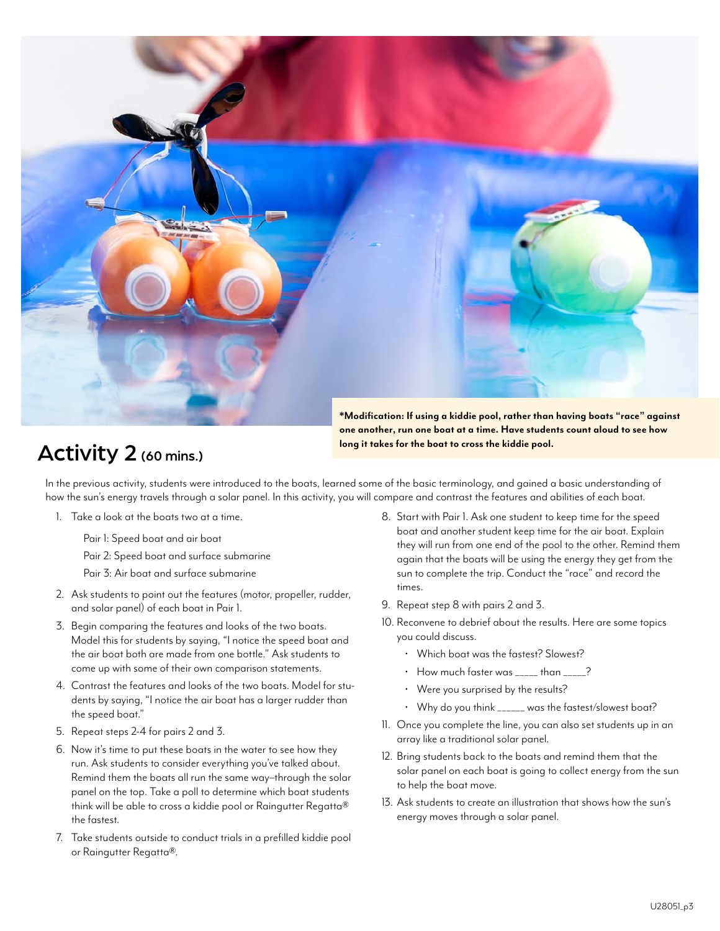

### Activity 2 (60 mins.)

**one another, run one boat at a time. Have students count aloud to see how long it takes for the boat to cross the kiddie pool.** 

In the previous activity, students were introduced to the boats, learned some of the basic terminology, and gained a basic understanding of how the sun's energy travels through a solar panel. In this activity, you will compare and contrast the features and abilities of each boat.

1. Take a look at the boats two at a time.

Pair 1: Speed boat and air boat

Pair 2: Speed boat and surface submarine

Pair 3: Air boat and surface submarine

- 2. Ask students to point out the features (motor, propeller, rudder, and solar panel) of each boat in Pair 1.
- 3. Begin comparing the features and looks of the two boats. Model this for students by saying, "I notice the speed boat and the air boat both are made from one bottle." Ask students to come up with some of their own comparison statements.
- 4. Contrast the features and looks of the two boats. Model for students by saying, "I notice the air boat has a larger rudder than the speed boat."
- 5. Repeat steps 2-4 for pairs 2 and 3.
- 6. Now it's time to put these boats in the water to see how they run. Ask students to consider everything you've talked about. Remind them the boats all run the same way–through the solar panel on the top. Take a poll to determine which boat students think will be able to cross a kiddie pool or Raingutter Regatta® the fastest.
- 7. Take students outside to conduct trials in a prefilled kiddie pool or Raingutter Regatta®.
- 8. Start with Pair 1. Ask one student to keep time for the speed boat and another student keep time for the air boat. Explain they will run from one end of the pool to the other. Remind them again that the boats will be using the energy they get from the sun to complete the trip. Conduct the "race" and record the times.
- 9. Repeat step 8 with pairs 2 and 3.
- 10. Reconvene to debrief about the results. Here are some topics you could discuss.
	- Which boat was the fastest? Slowest?
	- How much faster was \_\_\_\_\_ than \_\_\_\_\_?
	- Were you surprised by the results?
	- Why do you think \_\_\_\_\_\_ was the fastest/slowest boat?
- 11. Once you complete the line, you can also set students up in an array like a traditional solar panel.
- 12. Bring students back to the boats and remind them that the solar panel on each boat is going to collect energy from the sun to help the boat move.
- 13. Ask students to create an illustration that shows how the sun's energy moves through a solar panel.